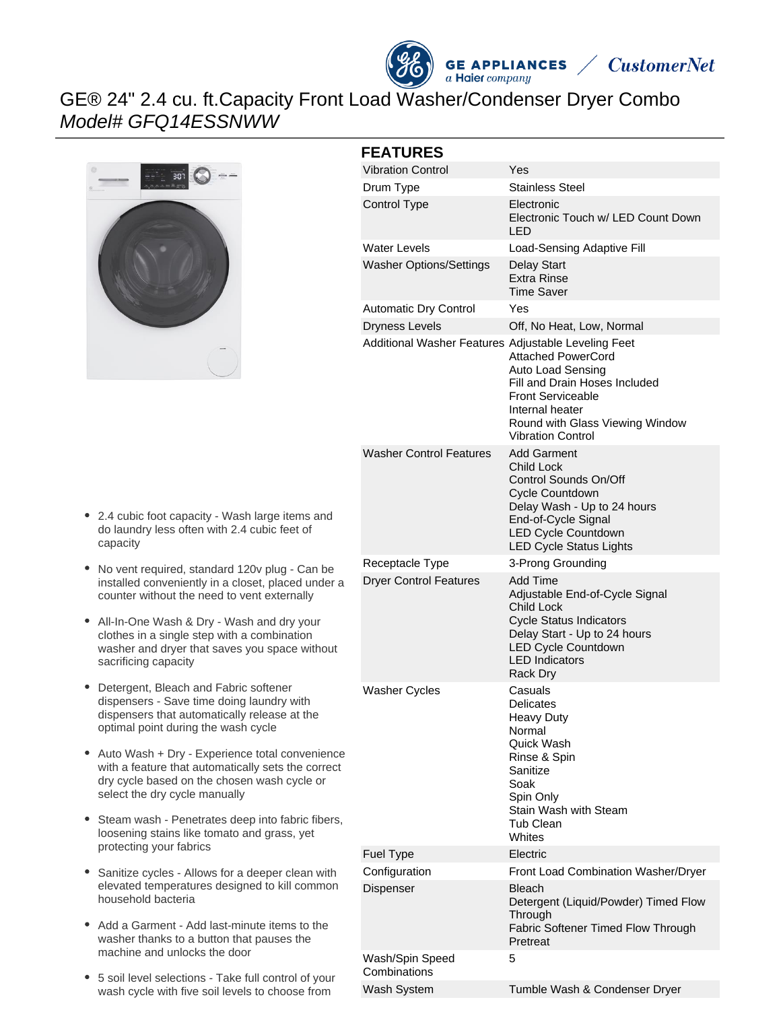



# GE® 24" 2.4 cu. ft.Capacity Front Load Washer/Condenser Dryer Combo Model# GFQ14ESSNWW



## **FEATURES**

| FEAIURES                                            |                                                                                                                                                                                                    |  |
|-----------------------------------------------------|----------------------------------------------------------------------------------------------------------------------------------------------------------------------------------------------------|--|
| <b>Vibration Control</b>                            | Yes                                                                                                                                                                                                |  |
| Drum Type                                           | Stainless Steel                                                                                                                                                                                    |  |
| Control Type                                        | Electronic<br>Electronic Touch w/ LED Count Down<br>LED                                                                                                                                            |  |
| <b>Water Levels</b>                                 | Load-Sensing Adaptive Fill                                                                                                                                                                         |  |
| <b>Washer Options/Settings</b>                      | Delay Start<br><b>Extra Rinse</b><br>Time Saver                                                                                                                                                    |  |
| <b>Automatic Dry Control</b>                        | Yes                                                                                                                                                                                                |  |
| <b>Dryness Levels</b>                               | Off, No Heat, Low, Normal                                                                                                                                                                          |  |
| Additional Washer Features Adjustable Leveling Feet | <b>Attached PowerCord</b><br>Auto Load Sensing<br>Fill and Drain Hoses Included<br><b>Front Serviceable</b><br>Internal heater<br>Round with Glass Viewing Window<br>Vibration Control             |  |
| <b>Washer Control Features</b>                      | <b>Add Garment</b><br>Child Lock<br>Control Sounds On/Off<br>Cycle Countdown<br>Delay Wash - Up to 24 hours<br>End-of-Cycle Signal<br><b>LED Cycle Countdown</b><br><b>LED Cycle Status Lights</b> |  |
| Receptacle Type                                     | 3-Prong Grounding                                                                                                                                                                                  |  |
| <b>Dryer Control Features</b>                       | Add Time<br>Adjustable End-of-Cycle Signal<br>Child Lock<br><b>Cycle Status Indicators</b><br>Delay Start - Up to 24 hours<br><b>LED Cycle Countdown</b><br><b>LED Indicators</b><br>Rack Dry      |  |
| <b>Washer Cycles</b>                                | Casuals<br>Delicates<br><b>Heavy Duty</b><br>Normal<br>Quick Wash<br>Rinse & Spin<br>Sanitize<br>Soak<br>Spin Only<br>Stain Wash with Steam<br>Tub Clean<br>Whites                                 |  |
| <b>Fuel Type</b>                                    | Electric                                                                                                                                                                                           |  |
| Configuration                                       | Front Load Combination Washer/Dryer                                                                                                                                                                |  |
| Dispenser                                           | <b>Bleach</b><br>Detergent (Liquid/Powder) Timed Flow<br>Through<br><b>Fabric Softener Timed Flow Through</b><br>Pretreat                                                                          |  |
| Wash/Spin Speed<br>Combinations                     | 5                                                                                                                                                                                                  |  |
| Wash System                                         | Tumble Wash & Condenser Dryer                                                                                                                                                                      |  |

- 2.4 cubic foot capacity Wash large items and do laundry less often with 2.4 cubic feet of capacity
- No vent required, standard 120v plug Can be installed conveniently in a closet, placed under a counter without the need to vent externally
- All-In-One Wash & Dry Wash and dry your clothes in a single step with a combination washer and dryer that saves you space without sacrificing capacity
- $\bullet$ Detergent, Bleach and Fabric softener dispensers - Save time doing laundry with dispensers that automatically release at the optimal point during the wash cycle
- Auto Wash + Dry Experience total convenience with a feature that automatically sets the correct dry cycle based on the chosen wash cycle or select the dry cycle manually
- $\bullet$ Steam wash - Penetrates deep into fabric fibers, loosening stains like tomato and grass, yet protecting your fabrics
- Sanitize cycles Allows for a deeper clean with elevated temperatures designed to kill common household bacteria
- Add a Garment Add last-minute items to the washer thanks to a button that pauses the machine and unlocks the door
- 5 soil level selections Take full control of your wash cycle with five soil levels to choose from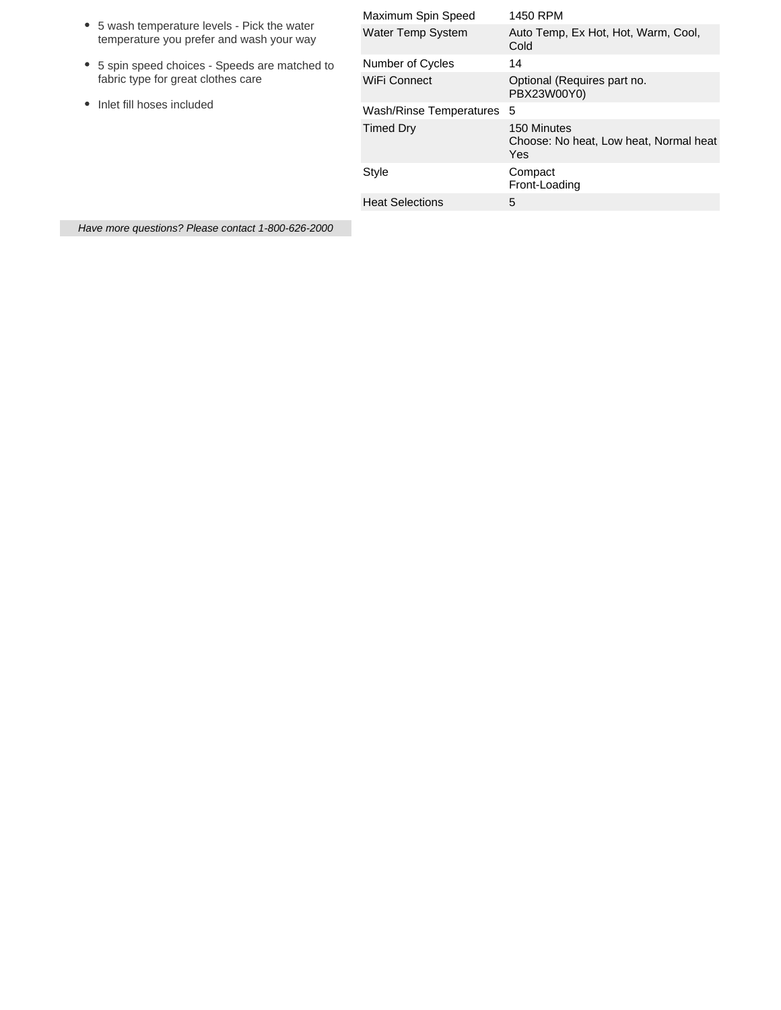| • 5 wash temperature levels - Pick the water<br>temperature you prefer and wash your way                          | Maximum Spin Speed        | 1450 RPM                                                     |
|-------------------------------------------------------------------------------------------------------------------|---------------------------|--------------------------------------------------------------|
|                                                                                                                   | <b>Water Temp System</b>  | Auto Temp, Ex Hot, Hot, Warm, Cool,<br>Cold                  |
| • 5 spin speed choices - Speeds are matched to<br>fabric type for great clothes care<br>Inlet fill hoses included | Number of Cycles          | 14                                                           |
|                                                                                                                   | WiFi Connect              | Optional (Requires part no.<br>PBX23W00Y0)                   |
|                                                                                                                   | Wash/Rinse Temperatures 5 |                                                              |
|                                                                                                                   | Timed Dry                 | 150 Minutes<br>Choose: No heat, Low heat, Normal heat<br>Yes |
|                                                                                                                   | Style                     | Compact<br>Front-Loading                                     |
|                                                                                                                   | <b>Heat Selections</b>    | 5                                                            |
|                                                                                                                   |                           |                                                              |

Have more questions? Please contact 1-800-626-2000